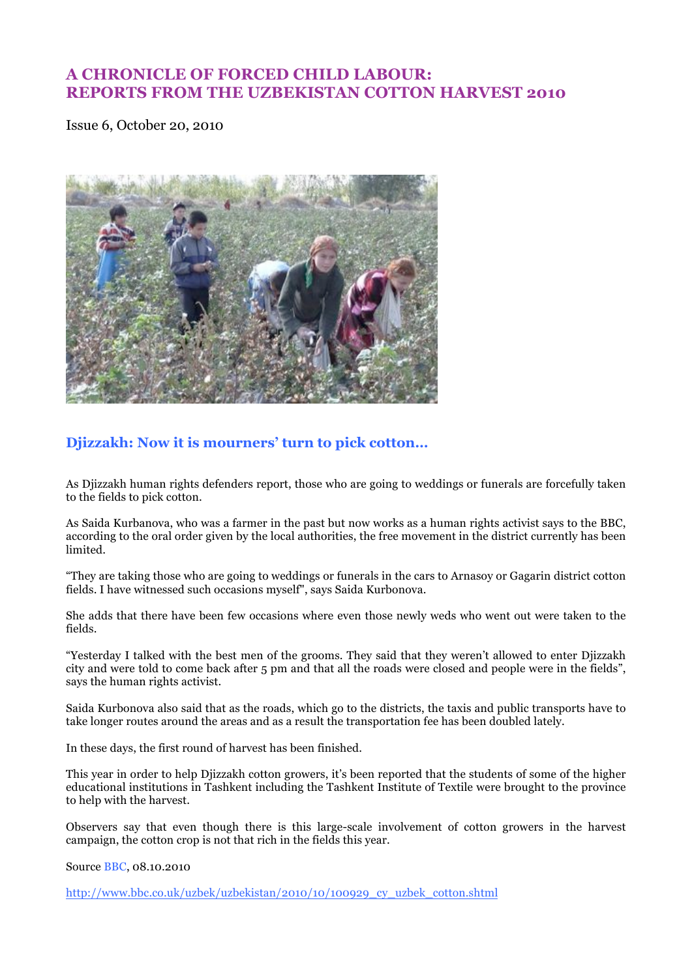# **A CHRONICLE OF FORCED CHILD LABOUR: REPORTS FROM THE UZBEKISTAN COTTON HARVEST 2010**

Issue 6, October 20, 2010



# **Djizzakh: Now it is mourners' turn to pick cotton…**

As Djizzakh human rights defenders report, those who are going to weddings or funerals are forcefully taken to the fields to pick cotton.

As Saida Kurbanova, who was a farmer in the past but now works as a human rights activist says to the BBC, according to the oral order given by the local authorities, the free movement in the district currently has been limited.

"They are taking those who are going to weddings or funerals in the cars to Arnasoy or Gagarin district cotton fields. I have witnessed such occasions myself", says Saida Kurbonova.

She adds that there have been few occasions where even those newly weds who went out were taken to the fields.

"Yesterday I talked with the best men of the grooms. They said that they weren't allowed to enter Djizzakh city and were told to come back after 5 pm and that all the roads were closed and people were in the fields", says the human rights activist.

Saida Kurbonova also said that as the roads, which go to the districts, the taxis and public transports have to take longer routes around the areas and as a result the transportation fee has been doubled lately.

In these days, the first round of harvest has been finished.

This year in order to help Djizzakh cotton growers, it's been reported that the students of some of the higher educational institutions in Tashkent including the Tashkent Institute of Textile were brought to the province to help with the harvest.

Observers say that even though there is this large-scale involvement of cotton growers in the harvest campaign, the cotton crop is not that rich in the fields this year.

Source BBC, 08.10.2010

http://www.bbc.co.uk/uzbek/uzbekistan/2010/10/100929\_cy\_uzbek\_cotton.shtml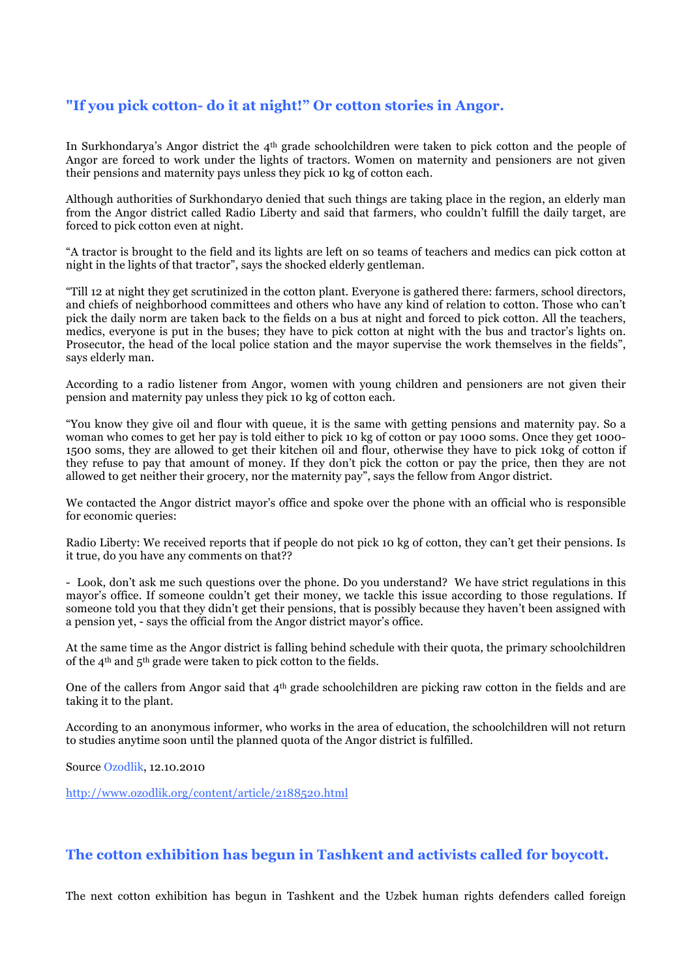## **"If you pick cotton- do it at night!" Or cotton stories in Angor.**

In Surkhondarya's Angor district the 4th grade schoolchildren were taken to pick cotton and the people of Angor are forced to work under the lights of tractors. Women on maternity and pensioners are not given their pensions and maternity pays unless they pick 10 kg of cotton each.

Although authorities of Surkhondaryo denied that such things are taking place in the region, an elderly man from the Angor district called Radio Liberty and said that farmers, who couldn't fulfill the daily target, are forced to pick cotton even at night.

"A tractor is brought to the field and its lights are left on so teams of teachers and medics can pick cotton at night in the lights of that tractor", says the shocked elderly gentleman.

"Till 12 at night they get scrutinized in the cotton plant. Everyone is gathered there: farmers, school directors, and chiefs of neighborhood committees and others who have any kind of relation to cotton. Those who can't pick the daily norm are taken back to the fields on a bus at night and forced to pick cotton. All the teachers, medics, everyone is put in the buses; they have to pick cotton at night with the bus and tractor's lights on. Prosecutor, the head of the local police station and the mayor supervise the work themselves in the fields", says elderly man.

According to a radio listener from Angor, women with young children and pensioners are not given their pension and maternity pay unless they pick 10 kg of cotton each.

"You know they give oil and flour with queue, it is the same with getting pensions and maternity pay. So a woman who comes to get her pay is told either to pick 10 kg of cotton or pay 1000 soms. Once they get 1000- 1500 soms, they are allowed to get their kitchen oil and flour, otherwise they have to pick 10kg of cotton if they refuse to pay that amount of money. If they don't pick the cotton or pay the price, then they are not allowed to get neither their grocery, nor the maternity pay", says the fellow from Angor district.

We contacted the Angor district mayor's office and spoke over the phone with an official who is responsible for economic queries:

Radio Liberty: We received reports that if people do not pick 10 kg of cotton, they can't get their pensions. Is it true, do you have any comments on that??

- Look, don't ask me such questions over the phone. Do you understand? We have strict regulations in this mayor's office. If someone couldn't get their money, we tackle this issue according to those regulations. If someone told you that they didn't get their pensions, that is possibly because they haven't been assigned with a pension yet, - says the official from the Angor district mayor's office.

At the same time as the Angor district is falling behind schedule with their quota, the primary schoolchildren of the 4th and 5th grade were taken to pick cotton to the fields.

One of the callers from Angor said that 4th grade schoolchildren are picking raw cotton in the fields and are taking it to the plant.

According to an anonymous informer, who works in the area of education, the schoolchildren will not return to studies anytime soon until the planned quota of the Angor district is fulfilled.

Source Ozodlik, 12.10.2010

http://www.ozodlik.org/content/article/2188520.html

#### **The cotton exhibition has begun in Tashkent and activists called for boycott.**

The next cotton exhibition has begun in Tashkent and the Uzbek human rights defenders called foreign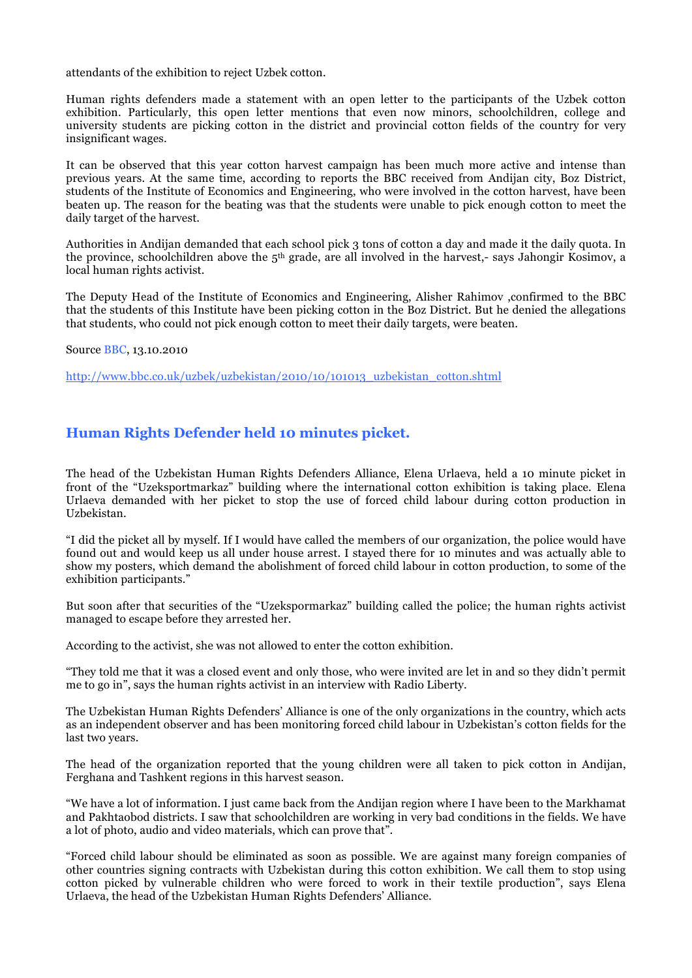attendants of the exhibition to reject Uzbek cotton.

Human rights defenders made a statement with an open letter to the participants of the Uzbek cotton exhibition. Particularly, this open letter mentions that even now minors, schoolchildren, college and university students are picking cotton in the district and provincial cotton fields of the country for very insignificant wages.

It can be observed that this year cotton harvest campaign has been much more active and intense than previous years. At the same time, according to reports the BBC received from Andijan city, Boz District, students of the Institute of Economics and Engineering, who were involved in the cotton harvest, have been beaten up. The reason for the beating was that the students were unable to pick enough cotton to meet the daily target of the harvest.

Authorities in Andijan demanded that each school pick 3 tons of cotton a day and made it the daily quota. In the province, schoolchildren above the 5th grade, are all involved in the harvest,- says Jahongir Kosimov, a local human rights activist.

The Deputy Head of the Institute of Economics and Engineering, Alisher Rahimov ,confirmed to the BBC that the students of this Institute have been picking cotton in the Boz District. But he denied the allegations that students, who could not pick enough cotton to meet their daily targets, were beaten.

Source BBC, 13.10.2010

http://www.bbc.co.uk/uzbek/uzbekistan/2010/10/101013\_uzbekistan\_cotton.shtml

### **Human Rights Defender held 10 minutes picket.**

The head of the Uzbekistan Human Rights Defenders Alliance, Elena Urlaeva, held a 10 minute picket in front of the "Uzeksportmarkaz" building where the international cotton exhibition is taking place. Elena Urlaeva demanded with her picket to stop the use of forced child labour during cotton production in Uzbekistan.

"I did the picket all by myself. If I would have called the members of our organization, the police would have found out and would keep us all under house arrest. I stayed there for 10 minutes and was actually able to show my posters, which demand the abolishment of forced child labour in cotton production, to some of the exhibition participants."

But soon after that securities of the "Uzekspormarkaz" building called the police; the human rights activist managed to escape before they arrested her.

According to the activist, she was not allowed to enter the cotton exhibition.

"They told me that it was a closed event and only those, who were invited are let in and so they didn't permit me to go in", says the human rights activist in an interview with Radio Liberty.

The Uzbekistan Human Rights Defenders' Alliance is one of the only organizations in the country, which acts as an independent observer and has been monitoring forced child labour in Uzbekistan's cotton fields for the last two years.

The head of the organization reported that the young children were all taken to pick cotton in Andijan, Ferghana and Tashkent regions in this harvest season.

"We have a lot of information. I just came back from the Andijan region where I have been to the Markhamat and Pakhtaobod districts. I saw that schoolchildren are working in very bad conditions in the fields. We have a lot of photo, audio and video materials, which can prove that".

"Forced child labour should be eliminated as soon as possible. We are against many foreign companies of other countries signing contracts with Uzbekistan during this cotton exhibition. We call them to stop using cotton picked by vulnerable children who were forced to work in their textile production", says Elena Urlaeva, the head of the Uzbekistan Human Rights Defenders' Alliance.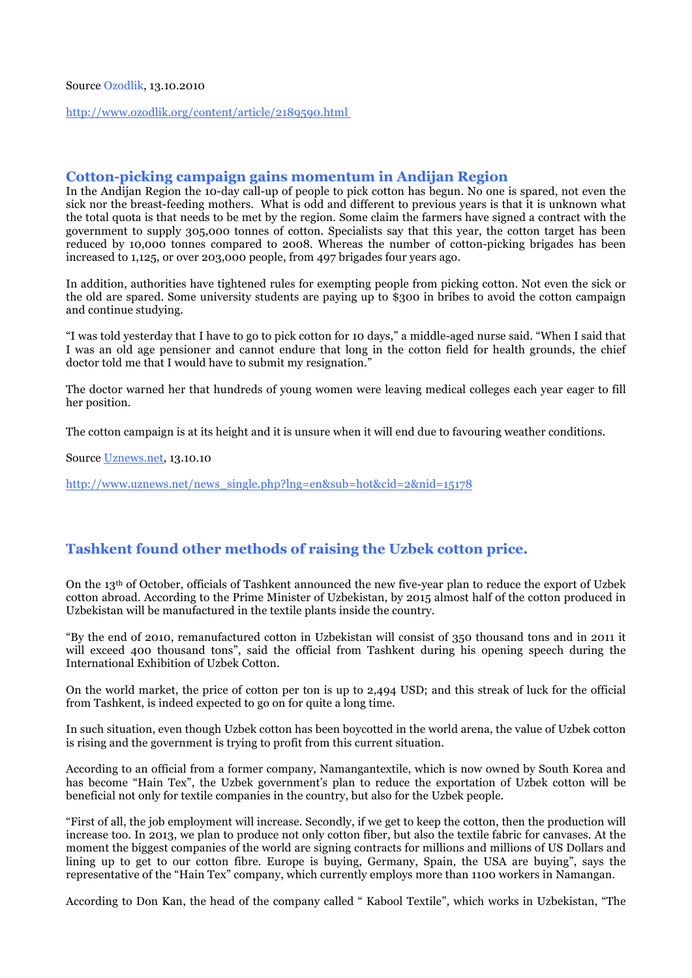#### Source Ozodlik, 13.10.2010

http://www.ozodlik.org/content/article/2189590.html

#### **Cotton-picking campaign gains momentum in Andijan Region**

In the Andijan Region the 10-day call-up of people to pick cotton has begun. No one is spared, not even the sick nor the breast-feeding mothers. What is odd and different to previous years is that it is unknown what the total quota is that needs to be met by the region. Some claim the farmers have signed a contract with the government to supply 305,000 tonnes of cotton. Specialists say that this year, the cotton target has been reduced by 10,000 tonnes compared to 2008. Whereas the number of cotton-picking brigades has been increased to 1,125, or over 203,000 people, from 497 brigades four years ago.

In addition, authorities have tightened rules for exempting people from picking cotton. Not even the sick or the old are spared. Some university students are paying up to \$300 in bribes to avoid the cotton campaign and continue studying.

"I was told yesterday that I have to go to pick cotton for 10 days," a middle-aged nurse said. "When I said that I was an old age pensioner and cannot endure that long in the cotton field for health grounds, the chief doctor told me that I would have to submit my resignation."

The doctor warned her that hundreds of young women were leaving medical colleges each year eager to fill her position.

The cotton campaign is at its height and it is unsure when it will end due to favouring weather conditions.

Source Uznews.net, 13.10.10

http://www.uznews.net/news\_single.php?lng=en&sub=hot&cid=2&nid=15178

#### **Tashkent found other methods of raising the Uzbek cotton price.**

On the 13th of October, officials of Tashkent announced the new five-year plan to reduce the export of Uzbek cotton abroad. According to the Prime Minister of Uzbekistan, by 2015 almost half of the cotton produced in Uzbekistan will be manufactured in the textile plants inside the country.

"By the end of 2010, remanufactured cotton in Uzbekistan will consist of 350 thousand tons and in 2011 it will exceed 400 thousand tons", said the official from Tashkent during his opening speech during the International Exhibition of Uzbek Cotton.

On the world market, the price of cotton per ton is up to 2,494 USD; and this streak of luck for the official from Tashkent, is indeed expected to go on for quite a long time.

In such situation, even though Uzbek cotton has been boycotted in the world arena, the value of Uzbek cotton is rising and the government is trying to profit from this current situation.

According to an official from a former company, Namangantextile, which is now owned by South Korea and has become "Hain Tex", the Uzbek government's plan to reduce the exportation of Uzbek cotton will be beneficial not only for textile companies in the country, but also for the Uzbek people.

"First of all, the job employment will increase. Secondly, if we get to keep the cotton, then the production will increase too. In 2013, we plan to produce not only cotton fiber, but also the textile fabric for canvases. At the moment the biggest companies of the world are signing contracts for millions and millions of US Dollars and lining up to get to our cotton fibre. Europe is buying, Germany, Spain, the USA are buying", says the representative of the "Hain Tex" company, which currently employs more than 1100 workers in Namangan.

According to Don Kan, the head of the company called " Kabool Textile", which works in Uzbekistan, "The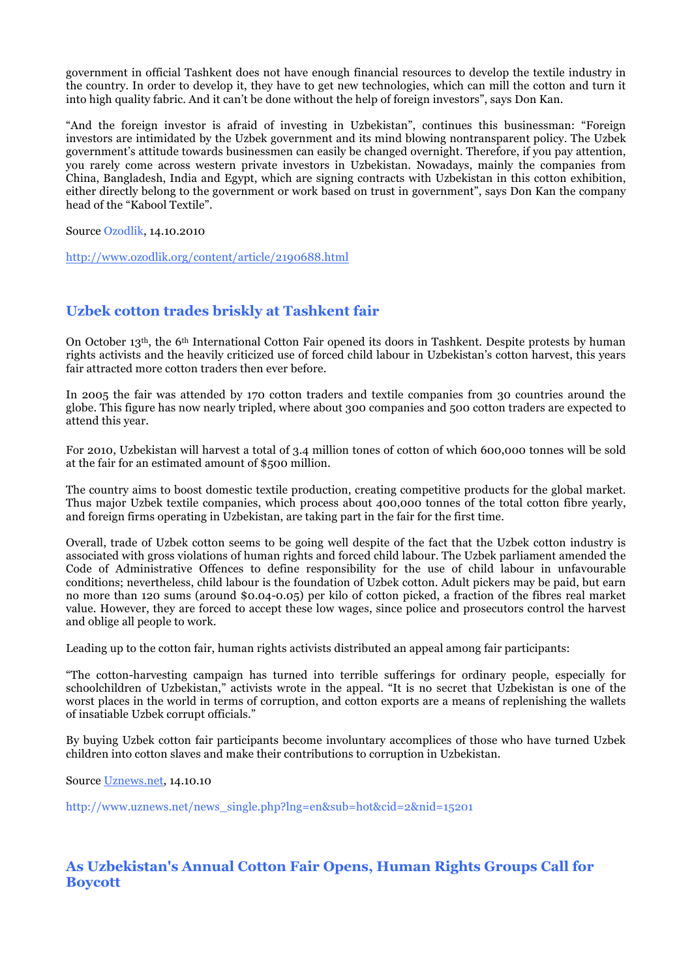government in official Tashkent does not have enough financial resources to develop the textile industry in the country. In order to develop it, they have to get new technologies, which can mill the cotton and turn it into high quality fabric. And it can't be done without the help of foreign investors", says Don Kan.

"And the foreign investor is afraid of investing in Uzbekistan", continues this businessman: "Foreign investors are intimidated by the Uzbek government and its mind blowing nontransparent policy. The Uzbek government's attitude towards businessmen can easily be changed overnight. Therefore, if you pay attention, you rarely come across western private investors in Uzbekistan. Nowadays, mainly the companies from China, Bangladesh, India and Egypt, which are signing contracts with Uzbekistan in this cotton exhibition, either directly belong to the government or work based on trust in government", says Don Kan the company head of the "Kabool Textile".

Source Ozodlik, 14.10.2010

http://www.ozodlik.org/content/article/2190688.html

### **Uzbek cotton trades briskly at Tashkent fair**

On October 13th, the 6th International Cotton Fair opened its doors in Tashkent. Despite protests by human rights activists and the heavily criticized use of forced child labour in Uzbekistan's cotton harvest, this years fair attracted more cotton traders then ever before.

In 2005 the fair was attended by 170 cotton traders and textile companies from 30 countries around the globe. This figure has now nearly tripled, where about 300 companies and 500 cotton traders are expected to attend this year.

For 2010, Uzbekistan will harvest a total of 3.4 million tones of cotton of which 600,000 tonnes will be sold at the fair for an estimated amount of \$500 million.

The country aims to boost domestic textile production, creating competitive products for the global market. Thus major Uzbek textile companies, which process about 400,000 tonnes of the total cotton fibre yearly, and foreign firms operating in Uzbekistan, are taking part in the fair for the first time.

Overall, trade of Uzbek cotton seems to be going well despite of the fact that the Uzbek cotton industry is associated with gross violations of human rights and forced child labour. The Uzbek parliament amended the Code of Administrative Offences to define responsibility for the use of child labour in unfavourable conditions; nevertheless, child labour is the foundation of Uzbek cotton. Adult pickers may be paid, but earn no more than 120 sums (around \$0.04-0.05) per kilo of cotton picked, a fraction of the fibres real market value. However, they are forced to accept these low wages, since police and prosecutors control the harvest and oblige all people to work.

Leading up to the cotton fair, human rights activists distributed an appeal among fair participants:

"The cotton-harvesting campaign has turned into terrible sufferings for ordinary people, especially for schoolchildren of Uzbekistan," activists wrote in the appeal. "It is no secret that Uzbekistan is one of the worst places in the world in terms of corruption, and cotton exports are a means of replenishing the wallets of insatiable Uzbek corrupt officials."

By buying Uzbek cotton fair participants become involuntary accomplices of those who have turned Uzbek children into cotton slaves and make their contributions to corruption in Uzbekistan.

Source Uznews.net, 14.10.10

http://www.uznews.net/news\_single.php?lng=en&sub=hot&cid=2&nid=15201

### **As Uzbekistan's Annual Cotton Fair Opens, Human Rights Groups Call for Boycott**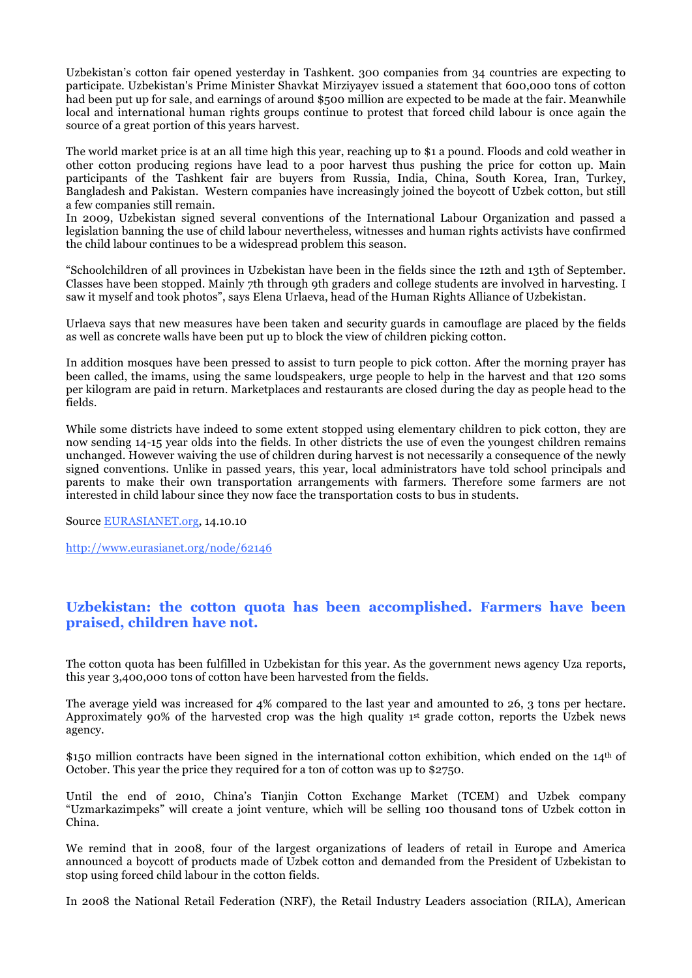Uzbekistan's cotton fair opened yesterday in Tashkent. 300 companies from 34 countries are expecting to participate. Uzbekistan's Prime Minister Shavkat Mirziyayev issued a statement that 600,000 tons of cotton had been put up for sale, and earnings of around \$500 million are expected to be made at the fair. Meanwhile local and international human rights groups continue to protest that forced child labour is once again the source of a great portion of this years harvest.

The world market price is at an all time high this year, reaching up to \$1 a pound. Floods and cold weather in other cotton producing regions have lead to a poor harvest thus pushing the price for cotton up. Main participants of the Tashkent fair are buyers from Russia, India, China, South Korea, Iran, Turkey, Bangladesh and Pakistan. Western companies have increasingly joined the boycott of Uzbek cotton, but still a few companies still remain.

In 2009, Uzbekistan signed several conventions of the International Labour Organization and passed a legislation banning the use of child labour nevertheless, witnesses and human rights activists have confirmed the child labour continues to be a widespread problem this season.

"Schoolchildren of all provinces in Uzbekistan have been in the fields since the 12th and 13th of September. Classes have been stopped. Mainly 7th through 9th graders and college students are involved in harvesting. I saw it myself and took photos", says Elena Urlaeva, head of the Human Rights Alliance of Uzbekistan.

Urlaeva says that new measures have been taken and security guards in camouflage are placed by the fields as well as concrete walls have been put up to block the view of children picking cotton.

In addition mosques have been pressed to assist to turn people to pick cotton. After the morning prayer has been called, the imams, using the same loudspeakers, urge people to help in the harvest and that 120 soms per kilogram are paid in return. Marketplaces and restaurants are closed during the day as people head to the fields.

While some districts have indeed to some extent stopped using elementary children to pick cotton, they are now sending 14-15 year olds into the fields. In other districts the use of even the youngest children remains unchanged. However waiving the use of children during harvest is not necessarily a consequence of the newly signed conventions. Unlike in passed years, this year, local administrators have told school principals and parents to make their own transportation arrangements with farmers. Therefore some farmers are not interested in child labour since they now face the transportation costs to bus in students.

Source EURASIANET.org, 14.10.10

http://www.eurasianet.org/node/62146

### **Uzbekistan: the cotton quota has been accomplished. Farmers have been praised, children have not.**

The cotton quota has been fulfilled in Uzbekistan for this year. As the government news agency Uza reports, this year 3,400,000 tons of cotton have been harvested from the fields.

The average yield was increased for 4% compared to the last year and amounted to 26, 3 tons per hectare. Approximately 90% of the harvested crop was the high quality 1st grade cotton, reports the Uzbek news agency.

\$150 million contracts have been signed in the international cotton exhibition, which ended on the  $14<sup>th</sup>$  of October. This year the price they required for a ton of cotton was up to \$2750.

Until the end of 2010, China's Tianjin Cotton Exchange Market (TCEM) and Uzbek company "Uzmarkazimpeks" will create a joint venture, which will be selling 100 thousand tons of Uzbek cotton in China.

We remind that in 2008, four of the largest organizations of leaders of retail in Europe and America announced a boycott of products made of Uzbek cotton and demanded from the President of Uzbekistan to stop using forced child labour in the cotton fields.

In 2008 the National Retail Federation (NRF), the Retail Industry Leaders association (RILA), American